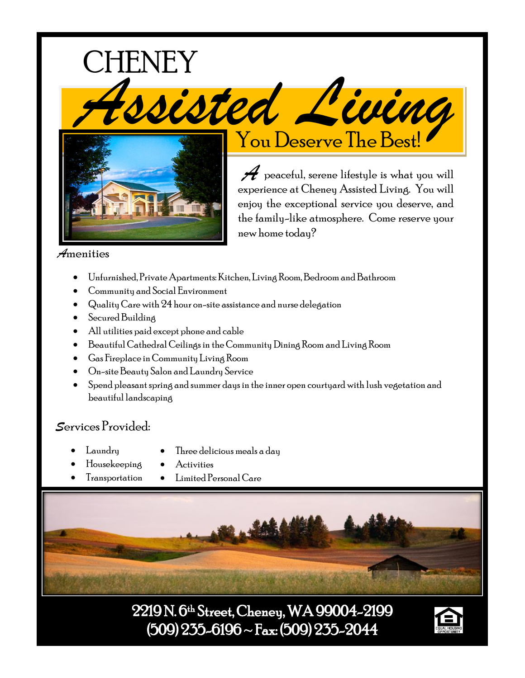

experience at Cheney Assisted Living. You will enjoy the exceptional service you deserve, and the family-like atmosphere. Come reserve your new home today?

# *A*menities

- Unfurnished, Private Apartments: Kitchen, Living Room, Bedroom and Bathroom
- Community and Social Environment
- Quality Care with 24 hour on-site assistance and nurse delegation
- Secured Building
- All utilities paid except phone and cable
- Beautiful Cathedral Ceilings in the Community Dining Room and Living Room
- Gas Fireplace in Community Living Room
- On-site Beauty Salon and Laundry Service
- Spend pleasant spring and summer days in the inner open courtyard with lush vegetation and beautiful landscaping

# *S*ervices Provided:

- Laundry
- Three delicious meals a day
- Housekeeping
	- Activities • Limited Personal Care



2219 N. 6th Street, Cheney, WA 99004-2199  $(509)$  235-6196 ~ Fax:  $(509)$  235-2044

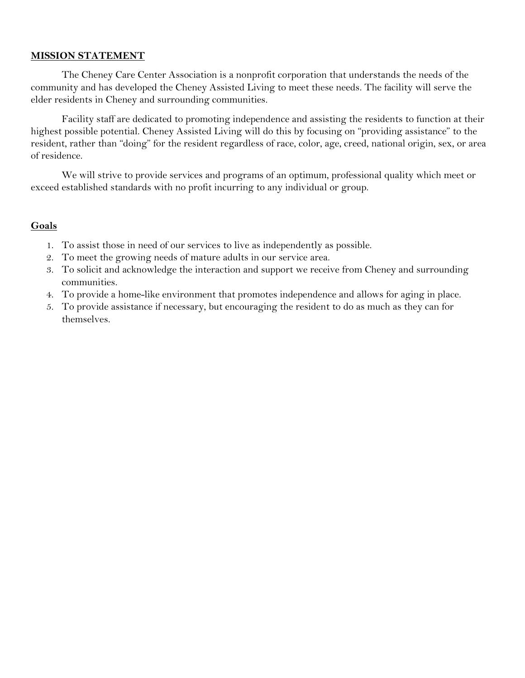### **MISSION STATEMENT**

The Cheney Care Center Association is a nonprofit corporation that understands the needs of the community and has developed the Cheney Assisted Living to meet these needs. The facility will serve the elder residents in Cheney and surrounding communities.

Facility staff are dedicated to promoting independence and assisting the residents to function at their highest possible potential. Cheney Assisted Living will do this by focusing on "providing assistance" to the resident, rather than "doing" for the resident regardless of race, color, age, creed, national origin, sex, or area of residence.

We will strive to provide services and programs of an optimum, professional quality which meet or exceed established standards with no profit incurring to any individual or group.

## **Goals**

- 1. To assist those in need of our services to live as independently as possible.
- 2. To meet the growing needs of mature adults in our service area.
- 3. To solicit and acknowledge the interaction and support we receive from Cheney and surrounding communities.
- 4. To provide a home-like environment that promotes independence and allows for aging in place.
- 5. To provide assistance if necessary, but encouraging the resident to do as much as they can for themselves.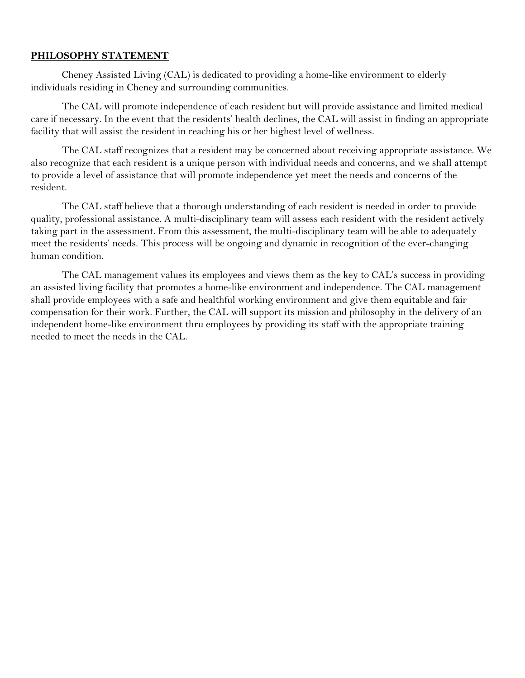### **PHILOSOPHY STATEMENT**

Cheney Assisted Living (CAL) is dedicated to providing a home-like environment to elderly individuals residing in Cheney and surrounding communities.

The CAL will promote independence of each resident but will provide assistance and limited medical care if necessary. In the event that the residents' health declines, the CAL will assist in finding an appropriate facility that will assist the resident in reaching his or her highest level of wellness.

The CAL staff recognizes that a resident may be concerned about receiving appropriate assistance. We also recognize that each resident is a unique person with individual needs and concerns, and we shall attempt to provide a level of assistance that will promote independence yet meet the needs and concerns of the resident.

The CAL staff believe that a thorough understanding of each resident is needed in order to provide quality, professional assistance. A multi-disciplinary team will assess each resident with the resident actively taking part in the assessment. From this assessment, the multi-disciplinary team will be able to adequately meet the residents' needs. This process will be ongoing and dynamic in recognition of the ever-changing human condition.

The CAL management values its employees and views them as the key to CAL's success in providing an assisted living facility that promotes a home-like environment and independence. The CAL management shall provide employees with a safe and healthful working environment and give them equitable and fair compensation for their work. Further, the CAL will support its mission and philosophy in the delivery of an independent home-like environment thru employees by providing its staff with the appropriate training needed to meet the needs in the CAL.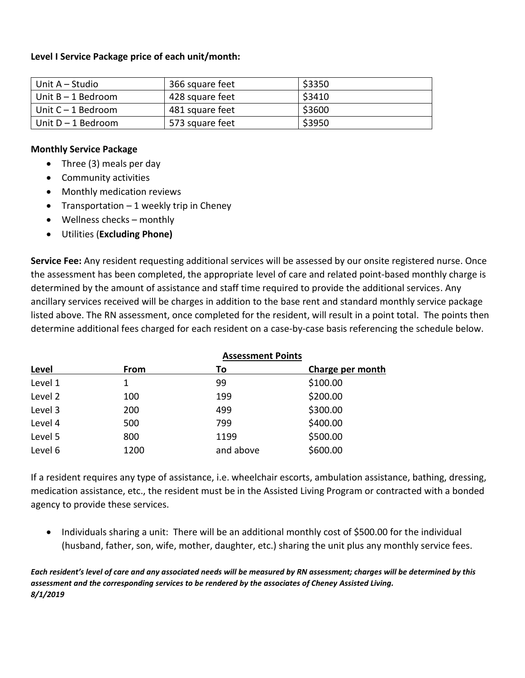## **Level I Service Package price of each unit/month:**

| Unit A – Studio      | 366 square feet | \$3350 |
|----------------------|-----------------|--------|
| I Unit B – 1 Bedroom | 428 square feet | \$3410 |
| ∣Unit C – 1 Bedroom  | 481 square feet | \$3600 |
| Unit D – 1 Bedroom   | 573 square feet | \$3950 |

### **Monthly Service Package**

- Three (3) meals per day
- Community activities
- Monthly medication reviews
- Transportation  $-1$  weekly trip in Cheney
- Wellness checks monthly
- Utilities (**Excluding Phone)**

**Service Fee:** Any resident requesting additional services will be assessed by our onsite registered nurse. Once the assessment has been completed, the appropriate level of care and related point-based monthly charge is determined by the amount of assistance and staff time required to provide the additional services. Any ancillary services received will be charges in addition to the base rent and standard monthly service package listed above. The RN assessment, once completed for the resident, will result in a point total. The points then determine additional fees charged for each resident on a case-by-case basis referencing the schedule below.

| Level   | <b>Assessment Points</b> |           |                  |  |
|---------|--------------------------|-----------|------------------|--|
|         | From                     | Τo        | Charge per month |  |
| Level 1 | 1                        | 99        | \$100.00         |  |
| Level 2 | 100                      | 199       | \$200.00         |  |
| Level 3 | 200                      | 499       | \$300.00         |  |
| Level 4 | 500                      | 799       | \$400.00         |  |
| Level 5 | 800                      | 1199      | \$500.00         |  |
| Level 6 | 1200                     | and above | \$600.00         |  |

If a resident requires any type of assistance, i.e. wheelchair escorts, ambulation assistance, bathing, dressing, medication assistance, etc., the resident must be in the Assisted Living Program or contracted with a bonded agency to provide these services.

• Individuals sharing a unit: There will be an additional monthly cost of \$500.00 for the individual (husband, father, son, wife, mother, daughter, etc.) sharing the unit plus any monthly service fees.

*Each resident's level of care and any associated needs will be measured by RN assessment; charges will be determined by this assessment and the corresponding services to be rendered by the associates of Cheney Assisted Living. 8/1/2019*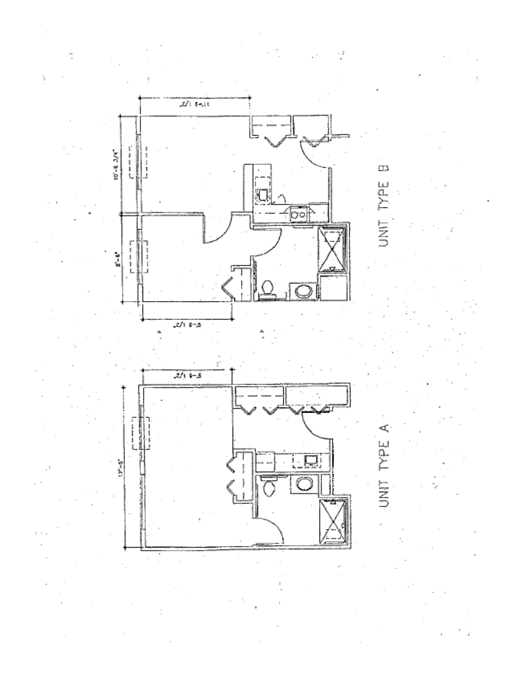

iyer<br>M Ŝ

 $\mathbf{u}$ 

# ď, TYPE.

UNIT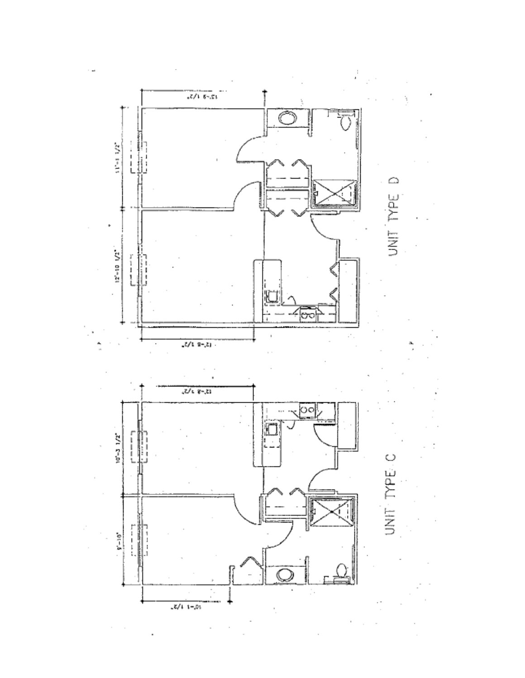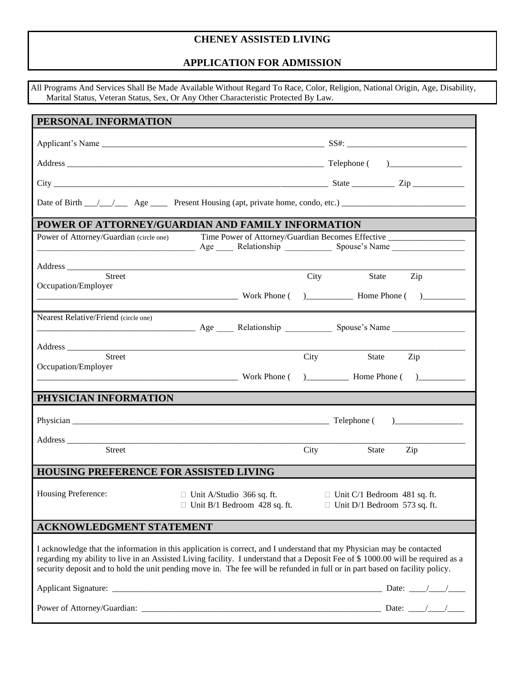# **CHENEY ASSISTED LIVING**

# **APPLICATION FOR ADMISSION**

|                                               | All Programs And Services Shall Be Made Available Without Regard To Race, Color, Religion, National Origin, Age, Disability,<br>Marital Status, Veteran Status, Sex, Or Any Other Characteristic Protected By Law.                                                                                                                                                                         |
|-----------------------------------------------|--------------------------------------------------------------------------------------------------------------------------------------------------------------------------------------------------------------------------------------------------------------------------------------------------------------------------------------------------------------------------------------------|
| PERSONAL INFORMATION                          |                                                                                                                                                                                                                                                                                                                                                                                            |
|                                               |                                                                                                                                                                                                                                                                                                                                                                                            |
|                                               |                                                                                                                                                                                                                                                                                                                                                                                            |
|                                               |                                                                                                                                                                                                                                                                                                                                                                                            |
|                                               |                                                                                                                                                                                                                                                                                                                                                                                            |
|                                               | POWER OF ATTORNEY/GUARDIAN AND FAMILY INFORMATION                                                                                                                                                                                                                                                                                                                                          |
| Power of Attorney/Guardian (circle one)       | Time Power of Attorney/Guardian Becomes Effective<br>Age Relationship Spouse's Name                                                                                                                                                                                                                                                                                                        |
|                                               |                                                                                                                                                                                                                                                                                                                                                                                            |
| Street<br>Occupation/Employer                 | City<br>Zip<br>State                                                                                                                                                                                                                                                                                                                                                                       |
|                                               |                                                                                                                                                                                                                                                                                                                                                                                            |
| Nearest Relative/Friend (circle one)          |                                                                                                                                                                                                                                                                                                                                                                                            |
|                                               |                                                                                                                                                                                                                                                                                                                                                                                            |
| Street<br>Occupation/Employer                 | City<br>State Zip                                                                                                                                                                                                                                                                                                                                                                          |
| PHYSICIAN INFORMATION                         |                                                                                                                                                                                                                                                                                                                                                                                            |
|                                               |                                                                                                                                                                                                                                                                                                                                                                                            |
|                                               |                                                                                                                                                                                                                                                                                                                                                                                            |
| Street                                        | Zip<br>City<br><b>State</b>                                                                                                                                                                                                                                                                                                                                                                |
| <b>HOUSING PREFERENCE FOR ASSISTED LIVING</b> |                                                                                                                                                                                                                                                                                                                                                                                            |
| Housing Preference:                           | $\Box$ Unit A/Studio 366 sq. ft.<br>$\Box$ Unit C/1 Bedroom 481 sq. ft.<br>$\Box$ Unit B/1 Bedroom 428 sq. ft.<br>$\Box$ Unit D/1 Bedroom 573 sq. ft.                                                                                                                                                                                                                                      |
| <b>ACKNOWLEDGMENT STATEMENT</b>               |                                                                                                                                                                                                                                                                                                                                                                                            |
|                                               | I acknowledge that the information in this application is correct, and I understand that my Physician may be contacted<br>regarding my ability to live in an Assisted Living facility. I understand that a Deposit Fee of \$ 1000.00 will be required as a<br>security deposit and to hold the unit pending move in. The fee will be refunded in full or in part based on facility policy. |
|                                               |                                                                                                                                                                                                                                                                                                                                                                                            |
|                                               |                                                                                                                                                                                                                                                                                                                                                                                            |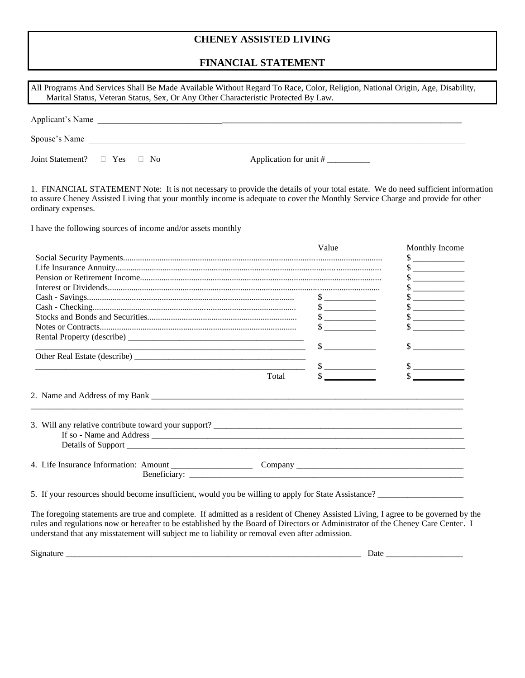# **CHENEY ASSISTED LIVING**

## **FINANCIAL STATEMENT**

| гимметар эта грипл                                                                                                                                                                                                                                                                       |                             |                             |
|------------------------------------------------------------------------------------------------------------------------------------------------------------------------------------------------------------------------------------------------------------------------------------------|-----------------------------|-----------------------------|
| All Programs And Services Shall Be Made Available Without Regard To Race, Color, Religion, National Origin, Age, Disability,                                                                                                                                                             |                             |                             |
| Marital Status, Veteran Status, Sex, Or Any Other Characteristic Protected By Law.                                                                                                                                                                                                       |                             |                             |
|                                                                                                                                                                                                                                                                                          |                             |                             |
| Applicant's Name                                                                                                                                                                                                                                                                         |                             |                             |
| Spouse's Name Department of the Spouse's Name                                                                                                                                                                                                                                            |                             |                             |
| Joint Statement?<br>$\Box$ Yes $\Box$ No                                                                                                                                                                                                                                                 | Application for unit #      |                             |
| 1. FINANCIAL STATEMENT Note: It is not necessary to provide the details of your total estate. We do need sufficient information<br>to assure Cheney Assisted Living that your monthly income is adequate to cover the Monthly Service Charge and provide for other<br>ordinary expenses. |                             |                             |
| I have the following sources of income and/or assets monthly                                                                                                                                                                                                                             |                             |                             |
|                                                                                                                                                                                                                                                                                          | Value                       | Monthly Income              |
|                                                                                                                                                                                                                                                                                          |                             | $\frac{\text{S}}{\text{S}}$ |
|                                                                                                                                                                                                                                                                                          |                             | $\frac{\text{S}}{\text{S}}$ |
|                                                                                                                                                                                                                                                                                          |                             | $\frac{\text{S}}{\text{S}}$ |
|                                                                                                                                                                                                                                                                                          |                             |                             |
|                                                                                                                                                                                                                                                                                          |                             | $\frac{\text{S}}{\text{S}}$ |
|                                                                                                                                                                                                                                                                                          | $\frac{\text{S}}{\text{S}}$ | $\frac{\text{S}}{\text{S}}$ |
|                                                                                                                                                                                                                                                                                          | $\frac{\text{S}}{\text{S}}$ | $\sim$                      |
|                                                                                                                                                                                                                                                                                          | $\frac{\text{S}}{\text{S}}$ | $\frac{1}{2}$               |
|                                                                                                                                                                                                                                                                                          | $\frac{\text{S}}{\text{S}}$ |                             |
|                                                                                                                                                                                                                                                                                          |                             |                             |
| <u> 2000 - Jan James Barnett, mars and de la propinsion de la propinsion de la propinsion de la propinsion de la</u>                                                                                                                                                                     | $\frac{\text{S}}{\text{S}}$ | $\frac{\text{S}}{\text{S}}$ |
|                                                                                                                                                                                                                                                                                          |                             |                             |
|                                                                                                                                                                                                                                                                                          |                             |                             |
| Total                                                                                                                                                                                                                                                                                    |                             |                             |
|                                                                                                                                                                                                                                                                                          |                             |                             |
|                                                                                                                                                                                                                                                                                          |                             |                             |
| 4. Life Insurance Information: Amount Company Company Company Company Company Company Company Company Company Company Company Company Company Company Company Company Company Company Company Company Company Company Company                                                            |                             |                             |
| 5. If your resources should become insufficient, would you be willing to apply for State Assistance?                                                                                                                                                                                     |                             |                             |

The foregoing statements are true and complete. If admitted as a resident of Cheney Assisted Living, I agree to be governed by the rules and regulations now or hereafter to be established by the Board of Directors or Administrator of the Cheney Care Center. I understand that any misstatement will subject me to liability or removal even after admission.

Signature \_\_\_\_\_\_\_\_\_\_\_\_\_\_\_\_\_\_\_\_\_\_\_\_\_\_\_\_\_\_\_\_\_\_\_\_\_\_\_\_\_\_\_\_\_\_\_\_\_\_\_\_\_\_\_\_\_\_\_\_\_\_\_\_\_\_\_\_\_ Date \_\_\_\_\_\_\_\_\_\_\_\_\_\_\_\_\_\_